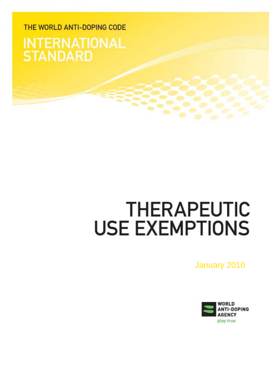## THE WORLD ANTI-DOPING CODE **INTERNATIONAL STANDARD**

# **THERAPEUTIC USE EXEMPTIONS**

January 2010

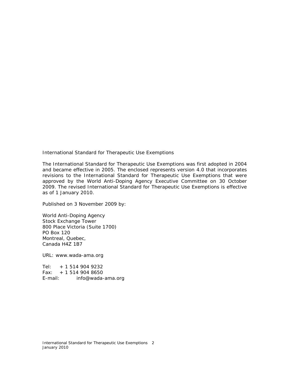International Standard for Therapeutic Use Exemptions

The International Standard for Therapeutic Use Exemptions was first adopted in 2004 and became effective in 2005. The enclosed represents version 4.0 that incorporates revisions to the International Standard for Therapeutic Use Exemptions that were approved by the World Anti-Doping Agency Executive Committee on 30 October 2009. The revised International Standard for Therapeutic Use Exemptions is effective as of 1 January 2010.

Published on 3 November 2009 by:

World Anti-Doping Agency Stock Exchange Tower 800 Place Victoria (Suite 1700) PO Box 120 Montreal, Quebec, Canada H4Z 1B7

URL: www.wada-ama.org

Tel:  $+ 15149049232$ Fax: + 1 514 904 8650 E-mail: info@wada-ama.org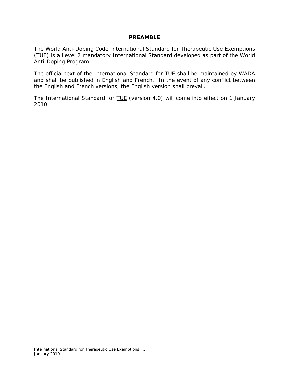#### **PREAMBLE**

The World Anti-Doping *Code International Standard* for Therapeutic Use Exemptions (TUE) is a Level 2 mandatory *International Standard* developed as part of the World Anti-Doping Program.

The official text of the *International Standard* for TUE shall be maintained by *WADA* and shall be published in English and French. In the event of any conflict between the English and French versions, the English version shall prevail.

The *International Standard* for **TUE** (version 4.0) will come into effect on 1 January 2010.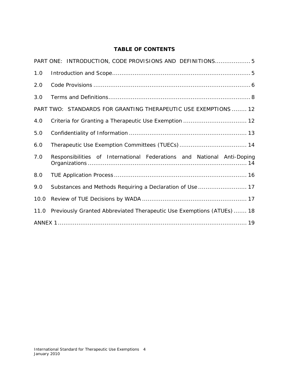## **TABLE OF CONTENTS**

|      | PART ONE: INTRODUCTION, CODE PROVISIONS AND DEFINITIONS 5                  |
|------|----------------------------------------------------------------------------|
| 1.0  |                                                                            |
| 2.0  |                                                                            |
| 3.0  |                                                                            |
|      | PART TWO: STANDARDS FOR GRANTING THERAPEUTIC USE EXEMPTIONS  12            |
| 4.0  |                                                                            |
| 5.0  |                                                                            |
| 6.0  |                                                                            |
| 7.0  | Responsibilities of International Federations and National Anti-Doping     |
| 8.0  |                                                                            |
| 9.0  | Substances and Methods Requiring a Declaration of Use  17                  |
| 10.0 |                                                                            |
|      | 11.0 Previously Granted Abbreviated Therapeutic Use Exemptions (ATUEs)  18 |
|      |                                                                            |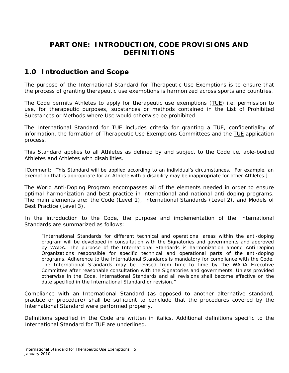## **PART ONE: INTRODUCTION,** *CODE* **PROVISIONS AND DEFINITIONS**

## **1.0 Introduction and Scope**

The purpose of the *International Standard* for Therapeutic Use Exemptions is to ensure that the process of granting therapeutic use exemptions is harmonized across sports and countries.

The *Code* permits *Athletes* to apply for therapeutic use exemptions (TUE ) i.e. permission to use, for therapeutic purposes, substances or methods contained in the List of *Prohibited Substances* or *Methods* where *Use* would otherwise be prohibited.

The *International Standard* for **TUE** includes criteria for granting a TUE, confidentiality of information, the formation of Therapeutic Use Exemptions Committees and the TUE application process.

This Standard applies to all *Athletes* as defined by and subject to the *Code* i.e. able-bodied *Athletes* and *Athletes* with disabilities.

*[Comment: This Standard will be applied according to an individual's circumstances. For example, an exemption that is appropriate for an Athlete with a disability may be inappropriate for other Athletes.]*

The World Anti-Doping Program encompasses all of the elements needed in order to ensure optimal harmonization and best practice in international and national anti-doping programs. The main elements are: the *Code* (Level 1), *International Standards* (Level 2), and Models of Best Practice (Level 3).

In the introduction to the *Code,* the purpose and implementation of the *International Standards* are summarized as follows:

"*International Standards* for different technical and operational areas within the anti-doping program will be developed in consultation with the *Signatories* and governments and approved by *WADA*. The purpose of the *International Standards* is harmonization among *Anti-Doping Organizations* responsible for specific technical and operational parts of the anti-doping programs. Adherence to the *International Standards* is mandatory for compliance with the *Code*. The *International Standards* may be revised from time to time by the *WADA* Executive Committee after reasonable consultation with the *Signatories* and governments. Unless provided otherwise in the *Code, International Standards* and all revisions shall become effective on the date specified in the *International Standard* or revision."

Compliance with an *International Standard* (as opposed to another alternative standard, practice or procedure) shall be sufficient to conclude that the procedures covered by the *International Standard* were performed properly.

Definitions specified in the *Code* are written in italics. Additional definitions specific to the *International Standard* for TUE are underlined.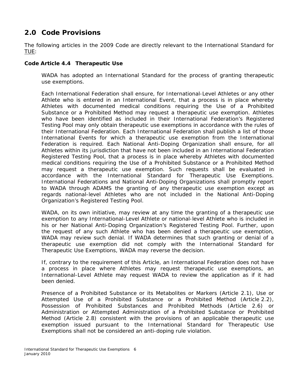## **2.0** *Code* **Provisions**

The following articles in the 2009 *Code* are directly relevant to the *International Standard* for <u>TUE:</u>

#### *Code* **Article 4.4 Therapeutic Use**

*WADA* has adopted an *International Standard* for the process of granting therapeutic use exemptions.

Each International Federation shall ensure, for *International*-Level *Athletes* or any other *Athlete* who is entered in an *International Event*, that a process is in place whereby *Athletes* with documented medical conditions requiring the *Use* of a *Prohibited Substance* or a *Prohibited Method* may request a therapeutic use exemption. *Athletes* who have been identified as included in their International Federation's *Registered Testing Pool* may only obtain therapeutic use exemptions in accordance with the rules of their International Federation. Each International Federation shall publish a list of those *International Events* for which a therapeutic use exemption from the International Federation is required. Each *National Anti-Doping Organization* shall ensure, for all *Athletes* within its jurisdiction that have not been included in an International Federation *Registered Testing Pool,* that a process is in place whereby *Athletes* with documented medical conditions requiring the *Use* of a *Prohibited Substance* or a *Prohibited Method* may request a therapeutic use exemption. Such requests shall be evaluated in accordance with the *International Standard* for Therapeutic Use Exemptions. International Federations and *National Anti-Doping Organizations* shall promptly report to *WADA* through *ADAMS* the granting of any therapeutic use exemption except as regards national-level *Athletes* who are not included in the *National Anti-Doping Organization's Registered Testing Pool*.

*WADA*, on its own initiative, may review at any time the granting of a therapeutic use exemption to any *International-Level Athlete* or national-level *Athlete* who is included in his or her *National Anti-Doping Organization's Registered Testing Pool*. Further, upon the request of any such *Athlete* who has been denied a therapeutic use exemption, *WADA* may review such denial. If *WADA* determines that such granting or denial of a therapeutic use exemption did not comply with the *International Standard* for Therapeutic Use Exemptions, *WADA* may reverse the decision.

If, contrary to the requirement of this Article, an International Federation does not have a process in place where *Athletes* may request therapeutic use exemptions, an *International-Level Athlete* may request *WADA* to review the application as if it had been denied.

Presence of a *Prohibited Substance* or its *Metabolites* or *Markers* (Article 2.1), *Use* or *Attempted Use* of a *Prohibited Substance* or a *Prohibited Method* (Article 2.2), *Possession of Prohibited Substances* and *Prohibited Methods* (Article 2.6) or Administration or *Attempted* Administration of a *Prohibited Substance* or *Prohibited Method* (Article 2.8) consistent with the provisions of an applicable therapeutic use exemption issued pursuant to the *International Standard* for Therapeutic Use Exemptions shall not be considered an anti-doping rule violation.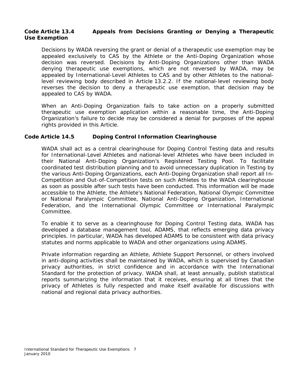#### *Code* **Article 13.4 Appeals from Decisions Granting or Denying a Therapeutic Use Exemption**

Decisions by *WADA* reversing the grant or denial of a therapeutic use exemption may be appealed exclusively to *CAS* by the *Athlete* or the *Anti-Doping Organization* whose decision was reversed. Decisions by *Anti-Doping Organizations* other than *WADA* denying therapeutic use exemptions, which are not reversed by *WADA*, may be appealed by *International-Level Athlete*s to *CAS* and by other *Athlete*s to the nationallevel reviewing body described in Article 13.2.2. If the national-level reviewing body reverses the decision to deny a therapeutic use exemption, that decision may be appealed to *CAS* by *WADA*.

When an *Anti-Doping Organization* fails to take action on a properly submitted therapeutic use exemption application within a reasonable time, the *Anti-Doping Organization's* failure to decide may be considered a denial for purposes of the appeal rights provided in this Article.

#### *Code* **Article 14.5** *Doping Control* **Information Clearinghouse**

*WADA* shall act as a central clearinghouse for *Doping Control Testing* data and results for *International-Level Athlete*s and national-level *Athlete*s who have been included in their *National Anti-Doping Organization's Registered Testing Pool*. To facilitate coordinated test distribution planning and to avoid unnecessary duplication in *Testing* by the various *Anti-Doping Organizations*, each *Anti-Doping Organization* shall report all *In-Competition* and *Out-of-Competition* tests on such *Athlete*s to the *WADA* clearinghouse as soon as possible after such tests have been conducted. This information will be made accessible to the *Athlete*, the *Athlete*'s National Federation, *National Olympic Committee* or National Paralympic Committee, *National Anti-Doping Organization*, International Federation, and the International Olympic Committee or International Paralympic Committee.

To enable it to serve as a clearinghouse for *Doping Control Testing* data, *WADA* has developed a database management tool, *ADAMS*, that reflects emerging data privacy principles. In particular, *WADA* has developed *ADAMS* to be consistent with data privacy statutes and norms applicable to *WADA* and other organizations using *ADAMS*.

Private information regarding an *Athlete*, *Athlete Support Personnel*, or others involved in anti-doping activities shall be maintained by *WADA*, which is supervised by Canadian privacy authorities, in strict confidence and in accordance with the *International Standard* for the protection of privacy. *WADA* shall, at least annually, publish statistical reports summarizing the information that it receives, ensuring at all times that the privacy of *Athlete*s is fully respected and make itself available for discussions with national and regional data privacy authorities.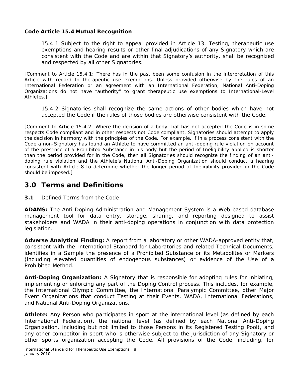#### *Code* **Article 15.4 Mutual Recognition**

15.4.1 Subject to the right to appeal provided in Article 13, *Testing*, therapeutic use exemptions and hearing results or other final adjudications of any *Signatory* which are consistent with the *Code* and are within that *Signatory*'s authority, shall be recognized and respected by all other *Signatories*.

*[Comment to Article 15.4.1: There has in the past been some confusion in the interpretation of this Article with regard to therapeutic use exemptions. Unless provided otherwise by the rules of an International Federation or an agreement with an International Federation, National Anti-Doping Organizations do not have "authority" to grant therapeutic use exemptions to International-Level Athletes.]* 

15.4.2 *Signatories* shall recognize the same actions of other bodies which have not accepted the *Code* if the rules of those bodies are otherwise consistent with the *Code*.

*[Comment to Article 15.4.2: Where the decision of a body that has not accepted the Code is in some respects Code compliant and in other respects not Code compliant, Signatories should attempt to apply the decision in harmony with the principles of the Code. For example, if in a process consistent with the Code a non-Signatory has found an Athlete to have committed an anti-doping rule violation on account of the presence of a Prohibited Substance in his body but the period of Ineligibility applied is shorter than the period provided for in the Code, then all Signatories should recognize the finding of an antidoping rule violation and the Athlete's National Anti-Doping Organization should conduct a hearing consistent with Article 8 to determine whether the longer period of Ineligibility provided in the Code should be imposed.]* 

## **3.0 Terms and Definitions**

**3.1** Defined Terms from the *Code*

*ADAMS***:** The Anti-Doping Administration and Management System is a Web-based database management tool for data entry, storage, sharing, and reporting designed to assist stakeholders and *WADA* in their anti-doping operations in conjunction with data protection legislation.

*Adverse Analytical Finding***:** A report from a laboratory or other *WADA*-approved entity that, consistent with the *International Standard* for Laboratories and related Technical Documents, identifies in a *Sample* the presence of a *Prohibited Substance* or its *Metabolites* or *Markers* (including elevated quantities of endogenous substances) or evidence of the *Use* of a *Prohibited Method*.

*Anti-Doping Organization***:** A *Signatory* that is responsible for adopting rules for initiating, implementing or enforcing any part of the *Doping Control* process. This includes, for example, the International Olympic Committee, the International Paralympic Committee, other *Major Event Organizations* that conduct *Testing* at their *Events*, *WADA*, International Federations, and *National Anti-Doping Organizations*.

Athlete: Any Person who participates in sport at the international level (as defined by each International Federation), the national level (as defined by each *National Anti-Doping Organization*, including but not limited to those Persons in its *Registered Testing Pool*), and any other competitor in sport who is otherwise subject to the jurisdiction of any *Signatory* or other sports organization accepting the *Code*. All provisions of the *Code*, including, for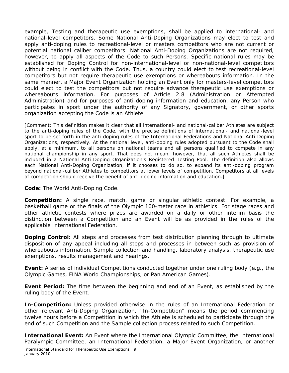example, *Testing* and therapeutic use exemptions, shall be applied to international- and national-level competitors. Some *National Anti-Doping Organizations* may elect to test and apply anti-doping rules to recreational-level or masters competitors who are not current or potential national caliber competitors. *National Anti-Doping Organizations* are not required, however, to apply all aspects of the *Code* to such *Persons*. Specific national rules may be established for *Doping Control* for non-international-level or non-national-level competitors without being in conflict with the *Code*. Thus, a country could elect to test recreational-level competitors but not require therapeutic use exemptions or whereabouts information. In the same manner, a *Major Event Organization* holding an *Event* only for masters-level competitors could elect to test the competitors but not require advance therapeutic use exemptions or whereabouts information. For purposes of Article 2.8 (Administration or *Attempted*  Administration) and for purposes of anti-doping information and education, any *Person* who participates in sport under the authority of any *Signatory*, government, or other sports organization accepting the *Code* is an *Athlete*.

*[Comment: This definition makes it clear that all international- and national-caliber Athletes are subject to the anti-doping rules of the Code, with the precise definitions of international- and national-level sport to be set forth in the anti-doping rules of the International Federations and National Anti-Doping Organizations, respectively. At the national level, anti-doping rules adopted pursuant to the Code shall*  apply, at a minimum, to all persons on national teams and all persons qualified to compete in any *national championship in any sport. That does not mean, however, that all such Athletes shall be included in a National Anti-Doping Organization's Registered Testing Pool. The definition also allows each National Anti-Doping Organization, if it chooses to do so, to expand its anti-doping program beyond national-caliber Athletes to competitors at lower levels of competition. Competitors at all levels of competition should receive the benefit of anti-doping information and education.]* 

*Code:* The World Anti-Doping *Code*.

*Competition:* A single race, match, game or singular athletic contest. For example, a basketball game or the finals of the Olympic 100-meter race in athletics. For stage races and other athletic contests where prizes are awarded on a daily or other interim basis the distinction between a *Competition* and an *Event* will be as provided in the rules of the applicable International Federation.

**Doping Control:** All steps and processes from test distribution planning through to ultimate disposition of any appeal including all steps and processes in between such as provision of whereabouts information, *Sample* collection and handling, laboratory analysis, therapeutic use exemptions, results management and hearings.

*Event:* A series of individual *Competitions* conducted together under one ruling body (e.g., the Olympic Games, FINA World Championships, or Pan American Games).

*Event Period:* The time between the beginning and end of an *Event*, as established by the ruling body of the *Event*.

**In-Competition:** Unless provided otherwise in the rules of an International Federation or other relevant *Anti-Doping Organization*, "In-Competition" means the period commencing twelve hours before a *Competition* in which the *Athlete* is scheduled to participate through the end of such *Competition* and the *Sample* collection process related to such *Competition*.

*International Event:* An *Event* where the International Olympic Committee, the International Paralympic Committee, an International Federation, a *Major Event Organization*, or another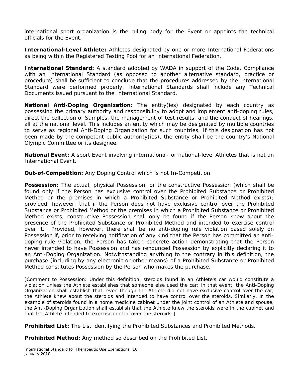international sport organization is the ruling body for the *Event* or appoints the technical officials for the *Event*.

*International-Level Athlete: Athlete*s designated by one or more International Federations as being within the *Registered Testing Pool* for an International Federation.

*International Standard:* A standard adopted by *WADA* in support of the *Code*. Compliance with an *International Standard* (as opposed to another alternative standard, practice or procedure) shall be sufficient to conclude that the procedures addressed by the *International Standard* were performed properly. *International Standards* shall include any Technical Documents issued pursuant to the *International Standard*.

*National Anti-Doping Organization:* The entity(ies) designated by each country as possessing the primary authority and responsibility to adopt and implement anti-doping rules, direct the collection of *Samples*, the management of test results, and the conduct of hearings, all at the national level. This includes an entity which may be designated by multiple countries to serve as regional *Anti-Doping Organization* for such countries. If this designation has not been made by the competent public authority(ies), the entity shall be the country's *National Olympic Committee* or its designee.

*National Event:* A sport *Event* involving international- or national-level *Athlete*s that is not an *International Event*.

*Out-of-Competition:* Any *Doping Control* which is not *In-Competition*.

*Possession***:** The actual, physical *Possession*, or the constructive *Possession* (which shall be found only if the *Person* has exclusive control over the *Prohibited Substance* or *Prohibited Method* or the premises in which a *Prohibited Substance* or *Prohibited Method* exists); provided, however, that if the Person does not have exclusive control over the *Prohibited Substance* or *Prohibited Method* or the premises in which a *Prohibited Substance* or *Prohibited Method* exists, constructive *Possession* shall only be found if the Person knew about the presence of the *Prohibited Substance* or *Prohibited Method* and intended to exercise control over it. Provided, however, there shall be no anti-doping rule violation based solely on *Possession* if, prior to receiving notification of any kind that the *Person* has committed an antidoping rule violation, the *Person* has taken concrete action demonstrating that the *Person* never intended to have *Possession* and has renounced *Possession* by explicitly declaring it to an Anti-Doping Organization. Notwithstanding anything to the contrary in this definition, the purchase (including by any electronic or other means) of a *Prohibited Substance* or *Prohibited Method* constitutes *Possession* by the *Person* who makes the purchase.

*[Comment to Possession: Under this definition, steroids found in an Athlete's car would constitute a violation unless the Athlete establishes that someone else used the car; in that event, the Anti-Doping Organization shall establish that, even though the Athlete did not have exclusive control over the car, the Athlete knew about the steroids and intended to have control over the steroids. Similarly, in the example of steroids found in a home medicine cabinet under the joint control of an Athlete and spouse, the Anti-Doping Organization shall establish that the Athlete knew the steroids were in the cabinet and that the Athlete intended to exercise control over the steroids.]* 

*Prohibited List:* The List identifying the *Prohibited Substance*s and *Prohibited Method*s.

*Prohibited Method:* Any method so described on the *Prohibited List*.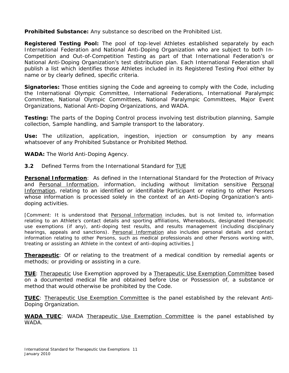*Prohibited Substance:* Any substance so described on the *Prohibited List*.

*Registered Testing Pool:* The pool of top-level *Athlete*s established separately by each International Federation and *National Anti-Doping Organization* who are subject to both *In-Competition* and *Out-of-Competition Testing* as part of that International Federation's or *National Anti-Doping Organization*'s test distribution plan. Each International Federation shall publish a list which identifies those *Athlete*s included in its *Registered Testing Pool* either by name or by clearly defined, specific criteria.

*Signatories:* Those entities signing the *Code* and agreeing to comply with the *Code*, including the International Olympic Committee, International Federations, International Paralympic Committee, *National Olympic Committee*s, National Paralympic Committees, *Major Event Organizations*, *National Anti-Doping Organizations*, and *WADA*.

*Testing:* The parts of the *Doping Control* process involving test distribution planning, *Sample*  collection, *Sample* handling, and *Sample* transport to the laboratory.

*Use:* The utilization, application, ingestion, injection or consumption by any means whatsoever of any *Prohibited Substance* or *Prohibited Method*.

*WADA:* The World Anti-Doping Agency.

**3.2** Defined Terms from the *International Standard for* TUE

**Personal Information**: As defined in the *International Standard* for the Protection of Privacy and Personal Information, information, including without limitation sensitive Personal Information, relating to an identified or identifiable *Participant* or relating to other *Persons* whose information is processed solely in the context of an Anti-Doping Organization's antidoping activities.

*[Comment: It is understood that Personal Information includes, but is not limited to, information relating to an Athlete's contact details and sporting affiliations, Whereabouts, designated therapeutic use exemptions (if any), anti-doping test results, and results management (including disciplinary hearings, appeals and sanctions). Personal Information also includes personal details and contact information relating to other Persons, such as medical professionals and other Persons working with, treating or assisting an Athlete in the context of anti-doping activities.]* 

**Therapeutic**: Of or relating to the treatment of a medical condition by remedial agents or methods; or providing or assisting in a cure.

**TUE**: Therapeutic Use Exemption approved by a Therapeutic Use Exemption Committee based on a documented medical file and obtained before *Use* or *Possession* of, a substance or method that would otherwise be prohibited by the *Code*.

**TUEC**: Therapeutic Use Exemption Committee is the panel established by the relevant *Anti-Doping Organization*.

*WADA* **TUEC**: *WADA* Therapeutic Use Exemption Committee is the panel established by *WADA.*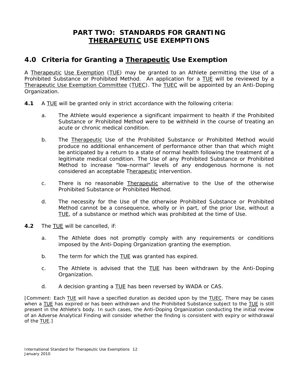## **PART TWO: STANDARDS FOR GRANTING THERAPEUTIC USE EXEMPTIONS**

## **4.0 Criteria for Granting a Therapeutic Use Exemption**

A Therapeutic Use Exemption (TUE) may be granted to an *Athlete* permitting the *Use* of a *Prohibited Substance* or *Prohibited Method.* An application for a TUE will be reviewed by a Therapeutic Use Exemption Committee (TUEC). The TUEC will be appointed by an *Anti-Doping Organization*.

- **4.1** A TUE will be granted only in strict accordance with the following criteria:
	- a. The *Athlete* would experience a significant impairment to health if the *Prohibited Substance* or *Prohibited Method* were to be withheld in the course of treating an acute or chronic medical condition.
	- b. The Therapeutic *Use* of the *Prohibited Substance* or *Prohibited Method* would produce no additional enhancement of performance other than that which might be anticipated by a return to a state of normal health following the treatment of a legitimate medical condition. The *Use* of any *Prohibited Substance* or *Prohibited Method* to increase "low-normal" levels of any endogenous hormone is not considered an acceptable Therapeutic intervention.
	- c. There is no reasonable Therapeutic alternative to the *Use* of the otherwise *Prohibited Substance* or *Prohibited Method*.
	- d. The necessity for the *Use* of the otherwise *Prohibited Substance* or *Prohibited Method* cannot be a consequence, wholly or in part, of the prior *Use,* without a TUE, of a substance or method which was prohibited at the time of *Use*.
- **4.2** The TUE will be cancelled, if:
	- a. The *Athlete* does not promptly comply with any requirements or conditions imposed by the *Anti-Doping Organization* granting the exemption.
	- b. The term for which the TUE was granted has expired.
	- c. The *Athlete* is advised that the TUE has been withdrawn by the *Anti-Doping Organization.*
	- d. A decision granting a TUE has been reversed by *WADA* or *CAS*.

*[Comment: Each TUE will have a specified duration as decided upon by the TUEC. There may be cases when a TUE has expired or has been withdrawn and the Prohibited Substance subject to the TUE is still present in the Athlete's body. In such cases, the Anti-Doping Organization conducting the initial review of an Adverse Analytical Finding will consider whether the finding is consistent with expiry or withdrawal of the TUE.]*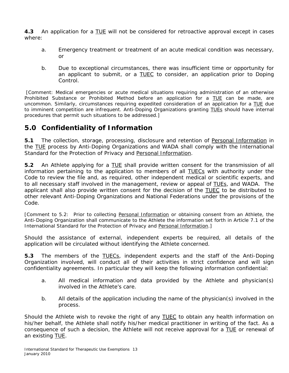**4.3** An application for a TUE will not be considered for retroactive approval except in cases where:

- a. Emergency treatment or treatment of an acute medical condition was necessary, or
- b. Due to exceptional circumstances, there was insufficient time or opportunity for an applicant to submit, or a TUEC to consider, an application prior to *Doping Control*.

*[Comment: Medical emergencies or acute medical situations requiring administration of an otherwise Prohibited Substance or Prohibited Method before an application for a TUE can be made, are uncommon. Similarly, circumstances requiring expedited consideration of an application for a TUE due to imminent competition are infrequent. Anti-Doping Organizations granting TUEs should have internal procedures that permit such situations to be addressed.]* 

## **5.0 Confidentiality of Information**

**5.1** The collection, storage, processing, disclosure and retention of Personal Information in the TUE process by *Anti-Doping Organizations* and *WADA* shall comply with the *International Standard* for the Protection of Privacy and Personal Information.

**5.2** An *Athlete* applying for a TUE shall provide written consent for the transmission of all information pertaining to the application to members of all TUECs with authority under the *Code* to review the file and, as required, other independent medical or scientific experts, and to all necessary staff involved in the management, review or appeal of TUEs, and *WADA*. The applicant shall also provide written consent for the decision of the TUEC to be distributed to other relevant *Anti-Doping Organizations* and National Federations under the provisions of the *Code.*

*[Comment to 5.2: Prior to collecting Personal Information or obtaining consent from an Athlete, the Anti-Doping Organization shall communicate to the Athlete the information set forth in Article 7.1 of the International Standard for the Protection of Privacy and Personal Information.]*

Should the assistance of external, independent experts be required, all details of the application will be circulated without identifying the *Athlete* concerned.

**5.3** The members of the TUECs, independent experts and the staff of the *Anti-Doping Organization* involved, will conduct all of their activities in strict confidence and will sign confidentiality agreements. In particular they will keep the following information confidential:

- a. All medical information and data provided by the *Athlete* and physician(s) involved in the *Athlete*'s care.
- b. All details of the application including the name of the physician(s) involved in the process.

Should the *Athlete* wish to revoke the right of any TUEC to obtain any health information on his/her behalf, the *Athlete* shall notify his/her medical practitioner in writing of the fact. As a consequence of such a decision, the *Athlete* will not receive approval for a TUE or renewal of an existing **TUE**.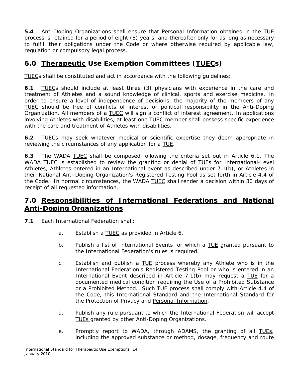**5.4** *Anti-Doping Organizations* shall ensure that Personal Information obtained in the TUE process is retained for a period of eight (8) years, and thereafter only for as long as necessary to fulfill their obligations under the *Code* or where otherwise required by applicable law, regulation or compulsory legal process.

## **6.0 Therapeutic** *Use* **Exemption Committees (TUECs)**

TUECs shall be constituted and act in accordance with the following guidelines:

**6.1** TUECs should include at least three (3) physicians with experience in the care and treatment of *Athlete*s and a sound knowledge of clinical, sports and exercise medicine. In order to ensure a level of independence of decisions, the majority of the members of any TUEC should be free of conflicts of interest or political responsibility in the *Anti-Doping Organization*. All members of a TUEC will sign a conflict of interest agreement. In applications involving *Athlete*s with disabilities, at least one TUEC member shall possess specific experience with the care and treatment of *Athlete*s with disabilities.

**6.2** TUECs may seek whatever medical or scientific expertise they deem appropriate in reviewing the circumstances of any application for a TUE.

**6.3** The *WADA* TUEC shall be composed following the criteria set out in Article 6.1. The *WADA* TUEC is established to review the granting or denial of TUEs for *International-Level Athletes, Athletes* entered in an International event as described under 7.1(b), or *Athletes* in their *National Anti-Doping Organization's Registered Testing* Pool as set forth in Article 4.4 of the *Code*. In normal circumstances, the *WADA* TUEC shall render a decision within 30 days of receipt of all requested information.

## **7.0 Responsibilities of International Federations and** *National Anti-Doping Organizations*

- **7.1** Each International Federation shall:
	- a. Establish a TUEC as provided in Article 6.
	- b. Publish a list of *International Events* for which a TUE granted pursuant to the International Federation's rules is required.
	- c. Establish and publish a TUE process whereby any *Athlete* who is in the International Federation's *Registered Testing Pool* or who is entered in an *International Event* described in Article 7.1(b) may request a TUE for a documented medical condition requiring the *Use* of a *Prohibited Substance*  or a *Prohibited Method.* Such TUE process shall comply with Article 4.4 of the *Code,* this *International Standard* and the *International Standard* for the Protection of Privacy and Personal Information*.*
	- d. Publish any rule pursuant to which the International Federation will accept TUEs granted by other *Anti-Doping Organizations.*
	- e. Promptly report to *WADA,* through *ADAMS*, the granting of all TUEs, including the approved substance or method, dosage, frequency and route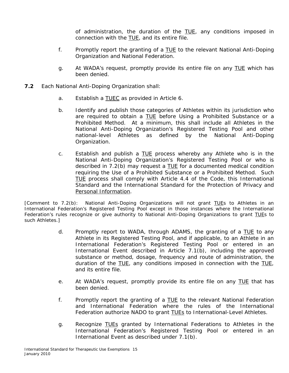of administration, the duration of the TUE, any conditions imposed in connection with the TUE, and its entire file.

- f. Promptly report the granting of a TUE to the relevant *National Anti-Doping Organization* and National Federation.
- g. At *WADA's* request, promptly provide its entire file on any TUE which has been denied.
- **7.2** Each *National Anti-Doping Organization* shall:
	- a. Establish a TUEC as provided in Article 6.
	- b. Identify and publish those categories of *Athletes* within its jurisdiction who are required to obtain a TUE before *Using* a *Prohibited Substance* or a *Prohibited Method.* At a minimum, this shall include all *Athletes* in the *National Anti-Doping Organization's Registered Testing Pool* and other national-level *Athletes* as defined by the *National Anti-Doping Organization*.
	- c. Establish and publish a TUE process whereby any *Athlete* who is in the *National Anti-Doping Organization's Registered Testing Pool* or who is described in 7.2(b) may request a TUE for a documented medical condition requiring the *Use* of a *Prohibited Substance* or a *Prohibited Method.* Such TUE process shall comply with Article 4.4 of the *Code,* this *International Standard* and the *International Standard* for the Protection of Privacy and Personal Information*.*

*[Comment to 7.2(b): National Anti-Doping Organizations will not grant TUEs to Athletes in an International Federation's Registered Testing Pool except in those instances where the International Federation's rules recognize or give authority to National Anti-Doping Organizations to grant TUEs to such Athletes.]*

- d. Promptly report to *WADA*, through *ADAMS,* the granting of a TUE to any *Athlete* in its *Registered Testing Pool*, and if applicable, to an *Athlete* in an International Federation's *Registered Testing Pool* or entered in an *International Event* described in Article 7.1(b), including the approved substance or method, dosage, frequency and route of administration, the duration of the TUE, any conditions imposed in connection with the TUE, and its entire file.
- e. At *WADA's* request, promptly provide its entire file on any TUE that has been denied.
- f. Promptly report the granting of a TUE to the relevant National Federation and International Federation where the rules of the International Federation authorize NADO to grant TUEs to *International-Level Athletes*.
- g. Recognize TUEs granted by International Federations to *Athletes* in the International Federation's *Registered Testing Pool* or entered in an *International Event* as described under 7.1(b).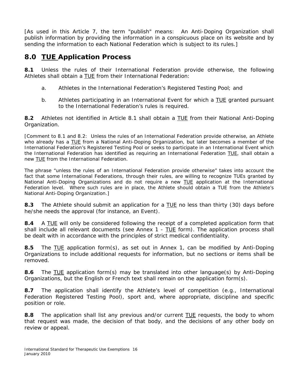[As used in this Article 7, the term "publish" means: An *Anti-Doping Organization* shall publish information by providing the information in a conspicuous place on its website and by sending the information to each National Federation which is subject to its rules.]

## **8.0 TUE Application Process**

**8.1** Unless the rules of their International Federation provide otherwise, the following *Athletes* shall obtain a TUE from their International Federation:

- a. *Athletes* in the International Federation's *Registered Testing Pool;* and
- b. *Athletes* participating in an *International Event* for which a TUE granted pursuant to the International Federation's rules is required.

**8.2** *Athletes* not identified in Article 8.1 shall obtain a TUE from their *National Anti-Doping Organization.*

*[Comment to 8.1 and 8.2: Unless the rules of an International Federation provide otherwise, an Athlete who already has a TUE from a National Anti-Doping Organization, but later becomes a member of the International Federation's Registered Testing Pool or seeks to participate in an International Event which the International Federation has identified as requiring an International Federation TUE, shall obtain a new TUE from the International Federation.*

*The phrase "unless the rules of an International Federation provide otherwise" takes into account the fact that some International Federations, through their rules, are willing to recognize TUEs granted by National Anti-Doping Organizations and do not require a new TUE application at the International Federation level. Where such rules are in place, the Athlete should obtain a TUE from the Athlete's National Anti-Doping Organization.]*

**8.3** The *Athlete* should submit an application for a TUE no less than thirty (30) days before he/she needs the approval (for instance, an *Event).*

**8.4** A TUE will only be considered following the receipt of a completed application form that shall include all relevant documents (see Annex 1 - TUE form). The application process shall be dealt with in accordance with the principles of strict medical confidentiality.

**8.5** The TUE application form(s), as set out in Annex 1, can be modified by *Anti-Doping Organizations* to include additional requests for information, but no sections or items shall be removed.

**8.6** The TUE application form(s) may be translated into other language(s) by *Anti-Doping Organizations*, but the English or French text shall remain on the application form(s).

**8.7** The application shall identify the *Athlete*'s level of competition (e.g., International Federation *Registered Testing Pool),* sport and, where appropriate, discipline and specific position or role.

**8.8** The application shall list any previous and/or current TUE requests, the body to whom that request was made, the decision of that body, and the decisions of any other body on review or appeal.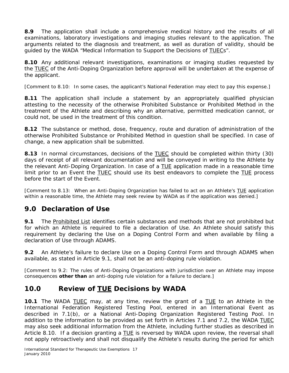**8.9** The application shall include a comprehensive medical history and the results of all examinations, laboratory investigations and imaging studies relevant to the application. The arguments related to the diagnosis and treatment, as well as duration of validity, should be guided by the *WADA* "Medical Information to Support the Decisions of TUECs".

**8.10** Any additional relevant investigations, examinations or imaging studies requested by the TUEC of the *Anti-Doping Organization* before approval will be undertaken at the expense of the applicant.

*[Comment to 8.10: In some cases, the applicant's National Federation may elect to pay this expense.]* 

**8.11** The application shall include a statement by an appropriately qualified physician attesting to the necessity of the otherwise *Prohibited Substance* or *Prohibited Method* in the treatment of the *Athlete* and describing why an alternative, permitted medication cannot, or could not, be used in the treatment of this condition.

**8.12** The substance or method, dose, frequency, route and duration of administration of the otherwise *Prohibited Substance* or *Prohibited Method* in question shall be specified. In case of change, a new application shall be submitted.

**8.13** In normal circumstances, decisions of the TUEC should be completed within thirty (30) days of receipt of all relevant documentation and will be conveyed in writing to the *Athlete* by the relevant *Anti-Doping Organization*. In case of a TUE application made in a reasonable time limit prior to an *Event* the TUEC should use its best endeavors to complete the TUE process before the start of the *Event*.

*[Comment to 8.13: When an Anti-Doping Organization has failed to act on an Athlete's TUE application within a reasonable time, the Athlete may seek review by WADA as if the application was denied.]*

## **9.0 Declaration of** *Use*

**9.1** The *Prohibited List* identifies certain substances and methods that are not prohibited but for which an *Athlete* is required to file a declaration of *Use.* An *Athlete* should satisfy this requirement by declaring the *Use* on a *Doping Control* Form and when available by filing a declaration of *Use* through *ADAMS*.

**9.2** An *Athlete's* failure to declare *Use* on a *Doping Control* Form and through *ADAMS* when available, as stated in Article 9.1, shall not be an anti-doping rule violation.

*[Comment to 9.2: The rules of Anti-Doping Organizations with jurisdiction over an Athlete may impose consequences other than an anti-doping rule violation for a failure to declare.]*

## **10.0 Review of TUE Decisions by** *WADA*

**10.1** The *WADA* TUEC may, at any time, review the grant of a TUE to an *Athlete* in the International Federation *Registered Testing Pool,* entered in an *International Event* as described in 7.1(b), or a *National Anti-Doping Organization Registered Testing Pool*. In addition to the information to be provided as set forth in Articles 7.1 and 7.2, the *WADA* TUEC may also seek additional information from the *Athlete*, including further studies as described in Article 8.10. If a decision granting a TUE is reversed by *WADA* upon review, the reversal shall not apply retroactively and shall not disqualify the *Athlete's* results during the period for which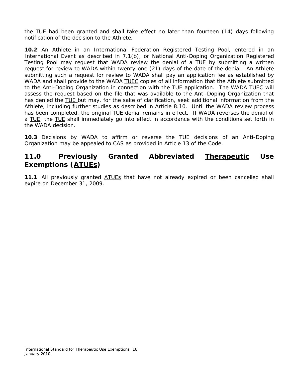the TUE had been granted and shall take effect no later than fourteen (14) days following notification of the decision to the *Athlete*.

**10.2** An *Athlete* in an International Federation *Registered Testing* Pool, entered in an *International Event* as described in 7.1(b), or *National Anti-Doping Organization Registered Testing Pool* may request that *WADA* review the denial of a TUE by submitting a written request for review to *WADA* within twenty-one (21) days of the date of the denial. An *Athlete* submitting such a request for review to *WADA* shall pay an application fee as established by *WADA* and shall provide to the *WADA* TUEC copies of all information that the *Athlete* submitted to the *Anti-Doping Organization* in connection with the TUE application. The *WADA* TUEC will assess the request based on the file that was available to the *Anti-Doping Organization* that has denied the TUE but may, for the sake of clarification, seek additional information from the *Athlete*, including further studies as described in Article 8.10. Until the *WADA* review process has been completed, the original TUE denial remains in effect. If *WADA* reverses the denial of a TUE, the TUE shall immediately go into effect in accordance with the conditions set forth in the *WADA* decision.

**10.3** Decisions by *WADA* to affirm or reverse the TUE decisions of an *Anti-Doping Organization* may be appealed to *CAS* as provided in Article 13 of the *Code*.

## **11.0 Previously Granted Abbreviated Therapeutic** *Use* **Exemptions (ATUEs)**

**11.1** All previously granted ATUEs that have not already expired or been cancelled shall expire on December 31, 2009.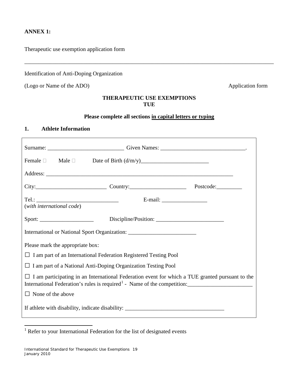## **ANNEX 1:**

Therapeutic use exemption application form

Identification of Anti-Doping Organization

(Logo or Name of the ADO) Application form

## **THERAPEUTIC USE EXEMPTIONS TUE**

\_\_\_\_\_\_\_\_\_\_\_\_\_\_\_\_\_\_\_\_\_\_\_\_\_\_\_\_\_\_\_\_\_\_\_\_\_\_\_\_\_\_\_\_\_\_\_\_\_\_\_\_\_\_\_\_\_\_\_\_\_\_\_\_\_\_\_\_\_\_\_\_\_\_\_\_\_\_\_\_\_\_\_\_\_\_\_\_

#### **Please complete all sections in capital letters or typing**

#### **1. Athlete Information**

| City: City: Country: Country: Postcode:                                                                |  |  |  |
|--------------------------------------------------------------------------------------------------------|--|--|--|
| (with international code)                                                                              |  |  |  |
|                                                                                                        |  |  |  |
| International or National Sport Organization: __________________________________                       |  |  |  |
| Please mark the appropriate box:                                                                       |  |  |  |
| $\Box$ I am part of an International Federation Registered Testing Pool                                |  |  |  |
| $\Box$ I am part of a National Anti-Doping Organization Testing Pool                                   |  |  |  |
| $\Box$ I am participating in an International Federation event for which a TUE granted pursuant to the |  |  |  |
| $\Box$ None of the above                                                                               |  |  |  |
| If athlete with disability, indicate disability: ________________________________                      |  |  |  |

<span id="page-18-0"></span><sup>&</sup>lt;sup>1</sup> Refer to your International Federation for the list of designated events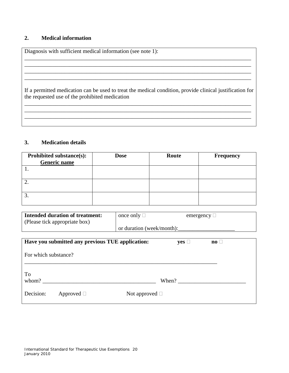#### **2. Medical information**

Diagnosis with sufficient medical information (see note 1):

If a permitted medication can be used to treat the medical condition, provide clinical justification for the requested use of the prohibited medication

\_\_\_\_\_\_\_\_\_\_\_\_\_\_\_\_\_\_\_\_\_\_\_\_\_\_\_\_\_\_\_\_\_\_\_\_\_\_\_\_\_\_\_\_\_\_\_\_\_\_\_\_\_\_\_\_\_\_\_\_\_\_\_\_\_\_\_\_\_\_\_\_\_\_\_\_\_\_\_\_ \_\_\_\_\_\_\_\_\_\_\_\_\_\_\_\_\_\_\_\_\_\_\_\_\_\_\_\_\_\_\_\_\_\_\_\_\_\_\_\_\_\_\_\_\_\_\_\_\_\_\_\_\_\_\_\_\_\_\_\_\_\_\_\_\_\_\_\_\_\_\_\_\_\_\_\_\_\_\_\_ \_\_\_\_\_\_\_\_\_\_\_\_\_\_\_\_\_\_\_\_\_\_\_\_\_\_\_\_\_\_\_\_\_\_\_\_\_\_\_\_\_\_\_\_\_\_\_\_\_\_\_\_\_\_\_\_\_\_\_\_\_\_\_\_\_\_\_\_\_\_\_\_\_\_\_\_\_\_\_\_

\_\_\_\_\_\_\_\_\_\_\_\_\_\_\_\_\_\_\_\_\_\_\_\_\_\_\_\_\_\_\_\_\_\_\_\_\_\_\_\_\_\_\_\_\_\_\_\_\_\_\_\_\_\_\_\_\_\_\_\_\_\_\_\_\_\_\_\_\_\_\_\_\_\_\_\_\_\_\_\_

\_\_\_\_\_\_\_\_\_\_\_\_\_\_\_\_\_\_\_\_\_\_\_\_\_\_\_\_\_\_\_\_\_\_\_\_\_\_\_\_\_\_\_\_\_\_\_\_\_\_\_\_\_\_\_\_\_\_\_\_\_\_\_\_\_\_\_\_\_\_\_\_\_\_\_\_\_\_\_\_ \_\_\_\_\_\_\_\_\_\_\_\_\_\_\_\_\_\_\_\_\_\_\_\_\_\_\_\_\_\_\_\_\_\_\_\_\_\_\_\_\_\_\_\_\_\_\_\_\_\_\_\_\_\_\_\_\_\_\_\_\_\_\_\_\_\_\_\_\_\_\_\_\_\_\_\_\_\_\_\_

#### **3. Medication details**

| Prohibited substance(s):<br>Generic name | <b>Dose</b> | Route | <b>Frequency</b> |
|------------------------------------------|-------------|-------|------------------|
|                                          |             |       |                  |
|                                          |             |       |                  |
|                                          |             |       |                  |

| <b>Intended duration of treatment:</b> | once only $\square$       | emergency $\Box$ |
|----------------------------------------|---------------------------|------------------|
| (Please tick appropriate box)          |                           |                  |
|                                        | or duration (week/month): |                  |

|                      |                 | Have you submitted any previous TUE application: | $yes \Box$ | $\mathbf{no}$ |
|----------------------|-----------------|--------------------------------------------------|------------|---------------|
| For which substance? |                 |                                                  |            |               |
| To<br>whom?          |                 |                                                  | When?      |               |
| Decision:            | Approved $\Box$ | Not approved $\square$                           |            |               |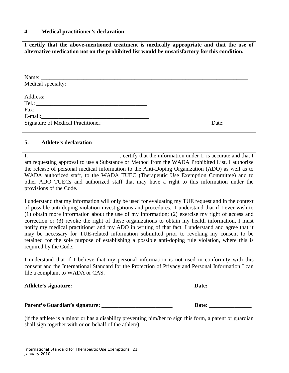#### **4**. **Medical practitioner's declaration**

| I certify that the above-mentioned treatment is medically appropriate and that the use of<br>alternative medication not on the prohibited list would be unsatisfactory for this condition.                                             |       |
|----------------------------------------------------------------------------------------------------------------------------------------------------------------------------------------------------------------------------------------|-------|
|                                                                                                                                                                                                                                        |       |
|                                                                                                                                                                                                                                        |       |
|                                                                                                                                                                                                                                        |       |
| Signature of Medical Practitioner:<br><u> Electronic Contract Contract Contract Contract Contract Contract Contract Contract Contract Contract Contract Contract Contract Contract Contract Contract Contract Contract Contract Co</u> | Date: |

#### **5. Athlete's declaration**

I, the information under 1. is accurate and that I am requesting approval to use a Substance or Method from the WADA Prohibited List. I authorize the release of personal medical information to the Anti-Doping Organization (ADO) as well as to WADA authorized staff, to the WADA TUEC (Therapeutic Use Exemption Committee) and to other ADO TUECs and authorized staff that may have a right to this information under the provisions of the Code.

I understand that my information will only be used for evaluating my TUE request and in the context of possible anti-doping violation investigations and procedures. I understand that if I ever wish to (1) obtain more information about the use of my information; (2) exercise my right of access and correction or (3) revoke the right of these organizations to obtain my health information, I must notify my medical practitioner and my ADO in writing of that fact. I understand and agree that it may be necessary for TUE-related information submitted prior to revoking my consent to be retained for the sole purpose of establishing a possible anti-doping rule violation, where this is required by the Code.

I understand that if I believe that my personal information is not used in conformity with this consent and the International Standard for the Protection of Privacy and Personal Information I can file a complaint to WADA or CAS.

| Athlete's signature: |  | Date: |
|----------------------|--|-------|
|                      |  |       |

**Parent's/Guardian's signature:** \_\_\_\_\_\_\_\_\_\_\_\_\_\_\_\_\_\_\_\_\_\_\_\_\_ **Date:** \_\_\_\_\_\_\_\_\_\_\_\_\_\_\_

(if the athlete is a minor or has a disability preventing him/her to sign this form, a parent or guardian shall sign together with or on behalf of the athlete)